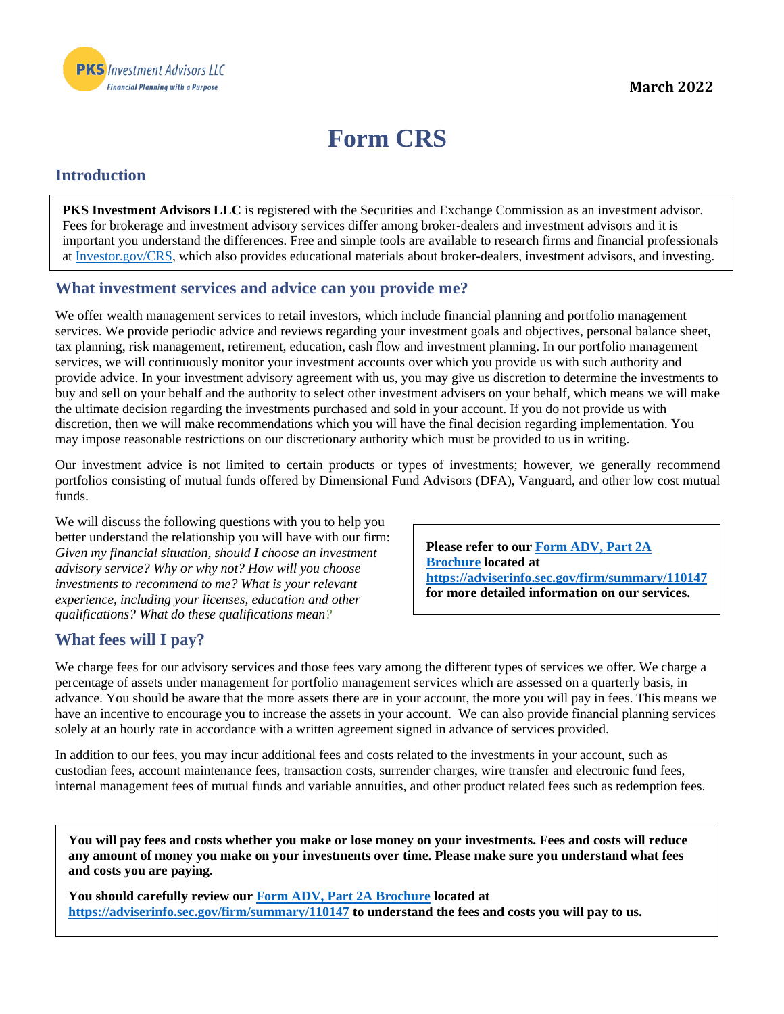

# **Form CRS**

## **Introduction**

**PKS Investment Advisors LLC** is registered with the Securities and Exchange Commission as an investment advisor. Fees for brokerage and investment advisory services differ among broker-dealers and investment advisors and it is important you understand the differences. Free and simple tools are available to research firms and financial professionals at [Investor.gov/CRS,](https://www.investor.gov/CRS) which also provides educational materials about broker-dealers, investment advisors, and investing.

## **What investment services and advice can you provide me?**

We offer wealth management services to retail investors, which include financial planning and portfolio management services. We provide periodic advice and reviews regarding your investment goals and objectives, personal balance sheet, tax planning, risk management, retirement, education, cash flow and investment planning. In our portfolio management services, we will continuously monitor your investment accounts over which you provide us with such authority and provide advice. In your investment advisory agreement with us, you may give us discretion to determine the investments to buy and sell on your behalf and the authority to select other investment advisers on your behalf, which means we will make the ultimate decision regarding the investments purchased and sold in your account. If you do not provide us with discretion, then we will make recommendations which you will have the final decision regarding implementation. You may impose reasonable restrictions on our discretionary authority which must be provided to us in writing.

Our investment advice is not limited to certain products or types of investments; however, we generally recommend portfolios consisting of mutual funds offered by Dimensional Fund Advisors (DFA), Vanguard, and other low cost mutual funds.

We will discuss the following questions with you to help you better understand the relationship you will have with our firm: *Given my financial situation, should I choose an investment advisory service? Why or why not? How will you choose investments to recommend to me? What is your relevant experience, including your licenses, education and other qualifications? What do these qualifications mean?*

**Please refer to our [Form ADV, Part 2A](https://adviserinfo.sec.gov/firm/summary/110147)  [Brochure](https://adviserinfo.sec.gov/firm/summary/110147) located at <https://adviserinfo.sec.gov/firm/summary/110147> for more detailed information on our services.**

## **What fees will I pay?**

We charge fees for our advisory services and those fees vary among the different types of services we offer. We charge a percentage of assets under management for portfolio management services which are assessed on a quarterly basis, in advance. You should be aware that the more assets there are in your account, the more you will pay in fees. This means we have an incentive to encourage you to increase the assets in your account. We can also provide financial planning services solely at an hourly rate in accordance with a written agreement signed in advance of services provided.

In addition to our fees, you may incur additional fees and costs related to the investments in your account, such as custodian fees, account maintenance fees, transaction costs, surrender charges, wire transfer and electronic fund fees, internal management fees of mutual funds and variable annuities, and other product related fees such as redemption fees.

**You will pay fees and costs whether you make or lose money on your investments. Fees and costs will reduce any amount of money you make on your investments over time. Please make sure you understand what fees and costs you are paying.** 

**You should carefully review our [Form ADV, Part 2A Brochure](https://adviserinfo.sec.gov/firm/summary/110147) located at <https://adviserinfo.sec.gov/firm/summary/110147> to understand the fees and costs you will pay to us.**